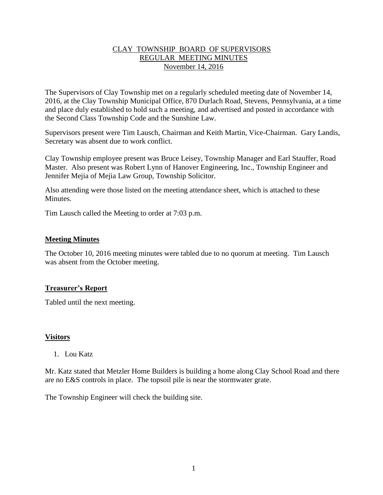# CLAY TOWNSHIP BOARD OF SUPERVISORS REGULAR MEETING MINUTES November 14, 2016

The Supervisors of Clay Township met on a regularly scheduled meeting date of November 14, 2016, at the Clay Township Municipal Office, 870 Durlach Road, Stevens, Pennsylvania, at a time and place duly established to hold such a meeting, and advertised and posted in accordance with the Second Class Township Code and the Sunshine Law.

Supervisors present were Tim Lausch, Chairman and Keith Martin, Vice-Chairman. Gary Landis, Secretary was absent due to work conflict.

Clay Township employee present was Bruce Leisey, Township Manager and Earl Stauffer, Road Master. Also present was Robert Lynn of Hanover Engineering, Inc., Township Engineer and Jennifer Mejia of Mejia Law Group, Township Solicitor.

Also attending were those listed on the meeting attendance sheet, which is attached to these **Minutes** 

Tim Lausch called the Meeting to order at 7:03 p.m.

### **Meeting Minutes**

The October 10, 2016 meeting minutes were tabled due to no quorum at meeting. Tim Lausch was absent from the October meeting.

# **Treasurer's Report**

Tabled until the next meeting.

#### **Visitors**

1. Lou Katz

Mr. Katz stated that Metzler Home Builders is building a home along Clay School Road and there are no E&S controls in place. The topsoil pile is near the stormwater grate.

The Township Engineer will check the building site.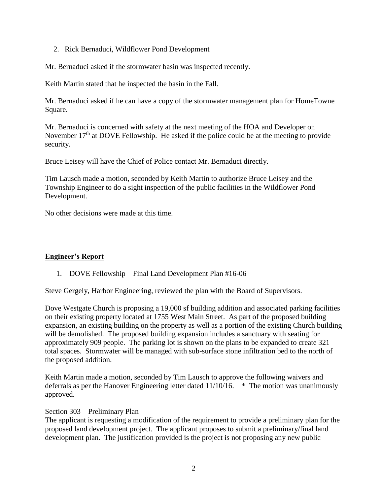2. Rick Bernaduci, Wildflower Pond Development

Mr. Bernaduci asked if the stormwater basin was inspected recently.

Keith Martin stated that he inspected the basin in the Fall.

Mr. Bernaduci asked if he can have a copy of the stormwater management plan for HomeTowne Square.

Mr. Bernaduci is concerned with safety at the next meeting of the HOA and Developer on November  $17<sup>th</sup>$  at DOVE Fellowship. He asked if the police could be at the meeting to provide security.

Bruce Leisey will have the Chief of Police contact Mr. Bernaduci directly.

Tim Lausch made a motion, seconded by Keith Martin to authorize Bruce Leisey and the Township Engineer to do a sight inspection of the public facilities in the Wildflower Pond Development.

No other decisions were made at this time.

# **Engineer's Report**

1. DOVE Fellowship – Final Land Development Plan #16-06

Steve Gergely, Harbor Engineering, reviewed the plan with the Board of Supervisors.

Dove Westgate Church is proposing a 19,000 sf building addition and associated parking facilities on their existing property located at 1755 West Main Street. As part of the proposed building expansion, an existing building on the property as well as a portion of the existing Church building will be demolished. The proposed building expansion includes a sanctuary with seating for approximately 909 people. The parking lot is shown on the plans to be expanded to create 321 total spaces. Stormwater will be managed with sub-surface stone infiltration bed to the north of the proposed addition.

Keith Martin made a motion, seconded by Tim Lausch to approve the following waivers and deferrals as per the Hanover Engineering letter dated 11/10/16. \* The motion was unanimously approved.

#### Section 303 – Preliminary Plan

The applicant is requesting a modification of the requirement to provide a preliminary plan for the proposed land development project. The applicant proposes to submit a preliminary/final land development plan. The justification provided is the project is not proposing any new public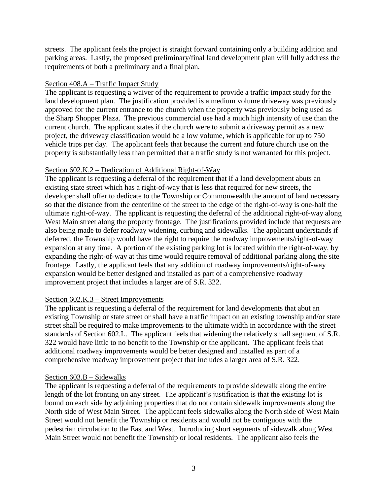streets. The applicant feels the project is straight forward containing only a building addition and parking areas. Lastly, the proposed preliminary/final land development plan will fully address the requirements of both a preliminary and a final plan.

### Section 408.A – Traffic Impact Study

The applicant is requesting a waiver of the requirement to provide a traffic impact study for the land development plan. The justification provided is a medium volume driveway was previously approved for the current entrance to the church when the property was previously being used as the Sharp Shopper Plaza. The previous commercial use had a much high intensity of use than the current church. The applicant states if the church were to submit a driveway permit as a new project, the driveway classification would be a low volume, which is applicable for up to 750 vehicle trips per day. The applicant feels that because the current and future church use on the property is substantially less than permitted that a traffic study is not warranted for this project.

### Section 602.K.2 – Dedication of Additional Right-of-Way

The applicant is requesting a deferral of the requirement that if a land development abuts an existing state street which has a right-of-way that is less that required for new streets, the developer shall offer to dedicate to the Township or Commonwealth the amount of land necessary so that the distance from the centerline of the street to the edge of the right-of-way is one-half the ultimate right-of-way. The applicant is requesting the deferral of the additional right-of-way along West Main street along the property frontage. The justifications provided include that requests are also being made to defer roadway widening, curbing and sidewalks. The applicant understands if deferred, the Township would have the right to require the roadway improvements/right-of-way expansion at any time. A portion of the existing parking lot is located within the right-of-way, by expanding the right-of-way at this time would require removal of additional parking along the site frontage. Lastly, the applicant feels that any addition of roadway improvements/right-of-way expansion would be better designed and installed as part of a comprehensive roadway improvement project that includes a larger are of S.R. 322.

# Section 602.K.3 – Street Improvements

The applicant is requesting a deferral of the requirement for land developments that abut an existing Township or state street or shall have a traffic impact on an existing township and/or state street shall be required to make improvements to the ultimate width in accordance with the street standards of Section 602.L. The applicant feels that widening the relatively small segment of S.R. 322 would have little to no benefit to the Township or the applicant. The applicant feels that additional roadway improvements would be better designed and installed as part of a comprehensive roadway improvement project that includes a larger area of S.R. 322.

#### Section 603.B – Sidewalks

The applicant is requesting a deferral of the requirements to provide sidewalk along the entire length of the lot fronting on any street. The applicant's justification is that the existing lot is bound on each side by adjoining properties that do not contain sidewalk improvements along the North side of West Main Street. The applicant feels sidewalks along the North side of West Main Street would not benefit the Township or residents and would not be contiguous with the pedestrian circulation to the East and West. Introducing short segments of sidewalk along West Main Street would not benefit the Township or local residents. The applicant also feels the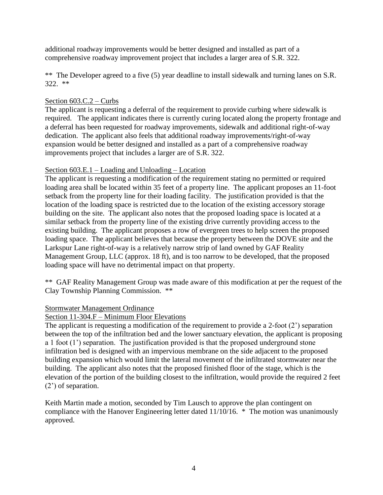additional roadway improvements would be better designed and installed as part of a comprehensive roadway improvement project that includes a larger area of S.R. 322.

\*\* The Developer agreed to a five (5) year deadline to install sidewalk and turning lanes on S.R. 322. \*\*

# Section 603.C.2 – Curbs

The applicant is requesting a deferral of the requirement to provide curbing where sidewalk is required. The applicant indicates there is currently curing located along the property frontage and a deferral has been requested for roadway improvements, sidewalk and additional right-of-way dedication. The applicant also feels that additional roadway improvements/right-of-way expansion would be better designed and installed as a part of a comprehensive roadway improvements project that includes a larger are of S.R. 322.

# Section 603.E.1 – Loading and Unloading – Location

The applicant is requesting a modification of the requirement stating no permitted or required loading area shall be located within 35 feet of a property line. The applicant proposes an 11-foot setback from the property line for their loading facility. The justification provided is that the location of the loading space is restricted due to the location of the existing accessory storage building on the site. The applicant also notes that the proposed loading space is located at a similar setback from the property line of the existing drive currently providing access to the existing building. The applicant proposes a row of evergreen trees to help screen the proposed loading space. The applicant believes that because the property between the DOVE site and the Larkspur Lane right-of-way is a relatively narrow strip of land owned by GAF Reality Management Group, LLC (approx. 18 ft), and is too narrow to be developed, that the proposed loading space will have no detrimental impact on that property.

\*\* GAF Reality Management Group was made aware of this modification at per the request of the Clay Township Planning Commission. \*\*

# Stormwater Management Ordinance

# Section 11-304.F – Minimum Floor Elevations

The applicant is requesting a modification of the requirement to provide a 2-foot (2') separation between the top of the infiltration bed and the lower sanctuary elevation, the applicant is proposing a 1 foot (1') separation. The justification provided is that the proposed underground stone infiltration bed is designed with an impervious membrane on the side adjacent to the proposed building expansion which would limit the lateral movement of the infiltrated stormwater near the building. The applicant also notes that the proposed finished floor of the stage, which is the elevation of the portion of the building closest to the infiltration, would provide the required 2 feet (2') of separation.

Keith Martin made a motion, seconded by Tim Lausch to approve the plan contingent on compliance with the Hanover Engineering letter dated 11/10/16. \* The motion was unanimously approved.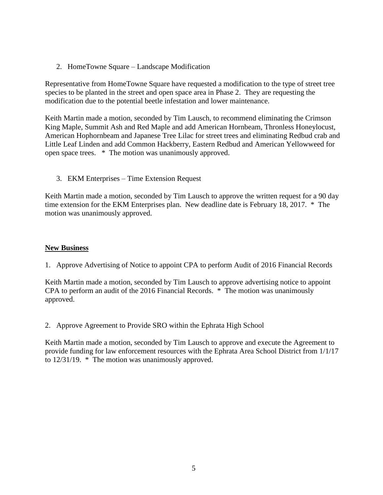2. HomeTowne Square – Landscape Modification

Representative from HomeTowne Square have requested a modification to the type of street tree species to be planted in the street and open space area in Phase 2. They are requesting the modification due to the potential beetle infestation and lower maintenance.

Keith Martin made a motion, seconded by Tim Lausch, to recommend eliminating the Crimson King Maple, Summit Ash and Red Maple and add American Hornbeam, Thronless Honeylocust, American Hophornbeam and Japanese Tree Lilac for street trees and eliminating Redbud crab and Little Leaf Linden and add Common Hackberry, Eastern Redbud and American Yellowweed for open space trees. \* The motion was unanimously approved.

3. EKM Enterprises – Time Extension Request

Keith Martin made a motion, seconded by Tim Lausch to approve the written request for a 90 day time extension for the EKM Enterprises plan. New deadline date is February 18, 2017. \* The motion was unanimously approved.

#### **New Business**

1. Approve Advertising of Notice to appoint CPA to perform Audit of 2016 Financial Records

Keith Martin made a motion, seconded by Tim Lausch to approve advertising notice to appoint CPA to perform an audit of the 2016 Financial Records. \* The motion was unanimously approved.

2. Approve Agreement to Provide SRO within the Ephrata High School

Keith Martin made a motion, seconded by Tim Lausch to approve and execute the Agreement to provide funding for law enforcement resources with the Ephrata Area School District from 1/1/17 to 12/31/19. \* The motion was unanimously approved.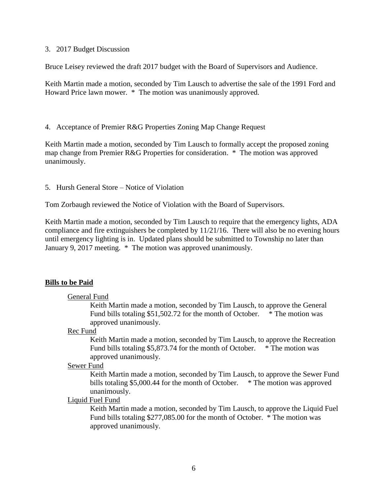#### 3. 2017 Budget Discussion

Bruce Leisey reviewed the draft 2017 budget with the Board of Supervisors and Audience.

Keith Martin made a motion, seconded by Tim Lausch to advertise the sale of the 1991 Ford and Howard Price lawn mower. \* The motion was unanimously approved.

4. Acceptance of Premier R&G Properties Zoning Map Change Request

Keith Martin made a motion, seconded by Tim Lausch to formally accept the proposed zoning map change from Premier R&G Properties for consideration. \* The motion was approved unanimously.

5. Hursh General Store – Notice of Violation

Tom Zorbaugh reviewed the Notice of Violation with the Board of Supervisors.

Keith Martin made a motion, seconded by Tim Lausch to require that the emergency lights, ADA compliance and fire extinguishers be completed by 11/21/16. There will also be no evening hours until emergency lighting is in. Updated plans should be submitted to Township no later than January 9, 2017 meeting. \* The motion was approved unanimously.

#### **Bills to be Paid**

#### General Fund

Keith Martin made a motion, seconded by Tim Lausch, to approve the General Fund bills totaling \$51,502.72 for the month of October. \* The motion was approved unanimously.

#### Rec Fund

Keith Martin made a motion, seconded by Tim Lausch, to approve the Recreation Fund bills totaling \$5,873.74 for the month of October. \* The motion was approved unanimously.

#### Sewer Fund

Keith Martin made a motion, seconded by Tim Lausch, to approve the Sewer Fund bills totaling \$5,000.44 for the month of October.  $*$  The motion was approved unanimously.

### Liquid Fuel Fund

Keith Martin made a motion, seconded by Tim Lausch, to approve the Liquid Fuel Fund bills totaling \$277,085.00 for the month of October. \* The motion was approved unanimously.